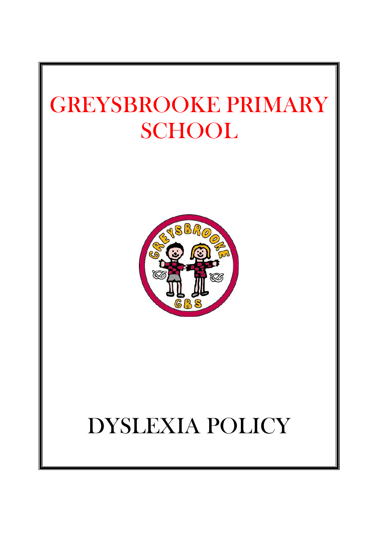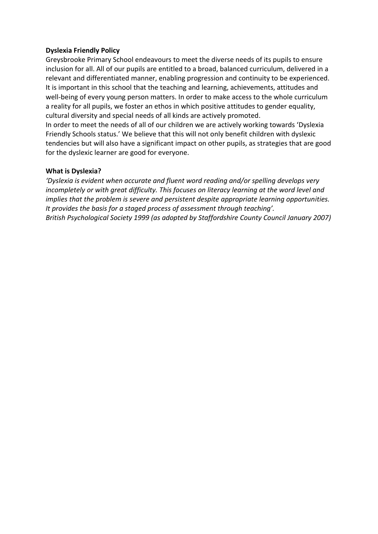#### **Dyslexia Friendly Policy**

Greysbrooke Primary School endeavours to meet the diverse needs of its pupils to ensure inclusion for all. All of our pupils are entitled to a broad, balanced curriculum, delivered in a relevant and differentiated manner, enabling progression and continuity to be experienced. It is important in this school that the teaching and learning, achievements, attitudes and well-being of every young person matters. In order to make access to the whole curriculum a reality for all pupils, we foster an ethos in which positive attitudes to gender equality, cultural diversity and special needs of all kinds are actively promoted.

In order to meet the needs of all of our children we are actively working towards 'Dyslexia Friendly Schools status.' We believe that this will not only benefit children with dyslexic tendencies but will also have a significant impact on other pupils, as strategies that are good for the dyslexic learner are good for everyone.

#### **What is Dyslexia?**

*'Dyslexia is evident when accurate and fluent word reading and/or spelling develops very incompletely or with great difficulty. This focuses on literacy learning at the word level and implies that the problem is severe and persistent despite appropriate learning opportunities. It provides the basis for a staged process of assessment through teaching'. British Psychological Society 1999 (as adopted by Staffordshire County Council January 2007)*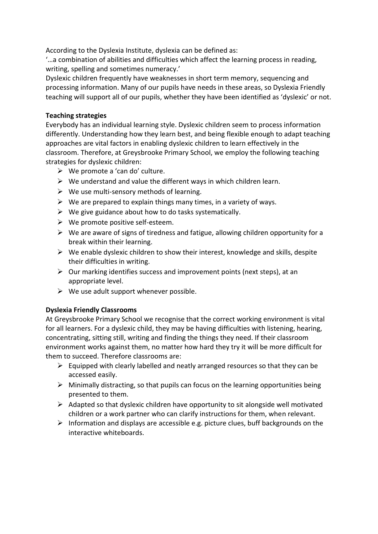According to the Dyslexia Institute, dyslexia can be defined as:

'…a combination of abilities and difficulties which affect the learning process in reading, writing, spelling and sometimes numeracy.'

Dyslexic children frequently have weaknesses in short term memory, sequencing and processing information. Many of our pupils have needs in these areas, so Dyslexia Friendly teaching will support all of our pupils, whether they have been identified as 'dyslexic' or not.

#### **Teaching strategies**

Everybody has an individual learning style. Dyslexic children seem to process information differently. Understanding how they learn best, and being flexible enough to adapt teaching approaches are vital factors in enabling dyslexic children to learn effectively in the classroom. Therefore, at Greysbrooke Primary School, we employ the following teaching strategies for dyslexic children:

- $\triangleright$  We promote a 'can do' culture.
- $\triangleright$  We understand and value the different ways in which children learn.
- $\triangleright$  We use multi-sensory methods of learning.
- $\triangleright$  We are prepared to explain things many times, in a variety of ways.
- $\triangleright$  We give guidance about how to do tasks systematically.
- $\triangleright$  We promote positive self-esteem.
- $\triangleright$  We are aware of signs of tiredness and fatigue, allowing children opportunity for a break within their learning.
- $\triangleright$  We enable dyslexic children to show their interest, knowledge and skills, despite their difficulties in writing.
- $\triangleright$  Our marking identifies success and improvement points (next steps), at an appropriate level.
- $\triangleright$  We use adult support whenever possible.

#### **Dyslexia Friendly Classrooms**

At Greysbrooke Primary School we recognise that the correct working environment is vital for all learners. For a dyslexic child, they may be having difficulties with listening, hearing, concentrating, sitting still, writing and finding the things they need. If their classroom environment works against them, no matter how hard they try it will be more difficult for them to succeed. Therefore classrooms are:

- $\triangleright$  Equipped with clearly labelled and neatly arranged resources so that they can be accessed easily.
- $\triangleright$  Minimally distracting, so that pupils can focus on the learning opportunities being presented to them.
- $\triangleright$  Adapted so that dyslexic children have opportunity to sit alongside well motivated children or a work partner who can clarify instructions for them, when relevant.
- $\triangleright$  Information and displays are accessible e.g. picture clues, buff backgrounds on the interactive whiteboards.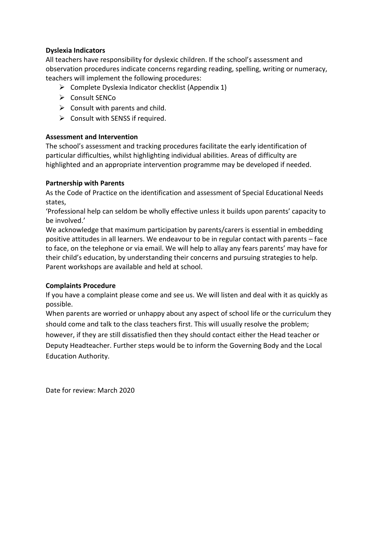#### **Dyslexia Indicators**

All teachers have responsibility for dyslexic children. If the school's assessment and observation procedures indicate concerns regarding reading, spelling, writing or numeracy, teachers will implement the following procedures:

- $\triangleright$  Complete Dyslexia Indicator checklist (Appendix 1)
- Consult SENCo
- $\triangleright$  Consult with parents and child.
- $\triangleright$  Consult with SENSS if required.

## **Assessment and Intervention**

The school's assessment and tracking procedures facilitate the early identification of particular difficulties, whilst highlighting individual abilities. Areas of difficulty are highlighted and an appropriate intervention programme may be developed if needed.

## **Partnership with Parents**

As the Code of Practice on the identification and assessment of Special Educational Needs states,

'Professional help can seldom be wholly effective unless it builds upon parents' capacity to be involved.'

We acknowledge that maximum participation by parents/carers is essential in embedding positive attitudes in all learners. We endeavour to be in regular contact with parents – face to face, on the telephone or via email. We will help to allay any fears parents' may have for their child's education, by understanding their concerns and pursuing strategies to help. Parent workshops are available and held at school.

# **Complaints Procedure**

If you have a complaint please come and see us. We will listen and deal with it as quickly as possible.

When parents are worried or unhappy about any aspect of school life or the curriculum they should come and talk to the class teachers first. This will usually resolve the problem; however, if they are still dissatisfied then they should contact either the Head teacher or Deputy Headteacher. Further steps would be to inform the Governing Body and the Local Education Authority.

Date for review: March 2020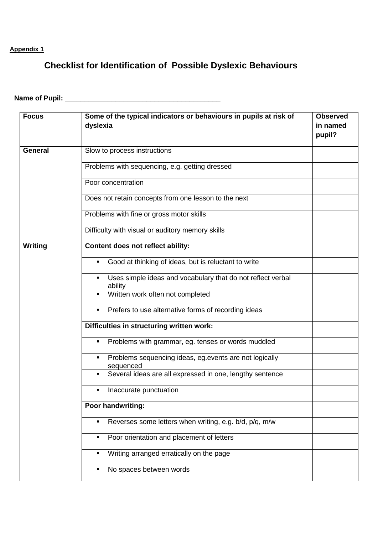# **Appendix 1**

# **Checklist for Identification of Possible Dyslexic Behaviours**

# **Name of Pupil: \_\_\_\_\_\_\_\_\_\_\_\_\_\_\_\_\_\_\_\_\_\_\_\_\_\_\_\_\_\_\_\_\_\_\_\_\_\_\_\_**

| <b>Focus</b>   | Some of the typical indicators or behaviours in pupils at risk of<br>dyslexia            | <b>Observed</b><br>in named<br>pupil? |
|----------------|------------------------------------------------------------------------------------------|---------------------------------------|
| <b>General</b> | Slow to process instructions                                                             |                                       |
|                | Problems with sequencing, e.g. getting dressed                                           |                                       |
|                | Poor concentration                                                                       |                                       |
|                | Does not retain concepts from one lesson to the next                                     |                                       |
|                | Problems with fine or gross motor skills                                                 |                                       |
|                | Difficulty with visual or auditory memory skills                                         |                                       |
| <b>Writing</b> | Content does not reflect ability:                                                        |                                       |
|                | Good at thinking of ideas, but is reluctant to write<br>п                                |                                       |
|                | Uses simple ideas and vocabulary that do not reflect verbal<br>$\blacksquare$<br>ability |                                       |
|                | Written work often not completed<br>$\blacksquare$                                       |                                       |
|                | Prefers to use alternative forms of recording ideas<br>٠                                 |                                       |
|                | Difficulties in structuring written work:                                                |                                       |
|                | Problems with grammar, eg. tenses or words muddled<br>٠                                  |                                       |
|                | Problems sequencing ideas, eg.events are not logically<br>٠<br>sequenced                 |                                       |
|                | Several ideas are all expressed in one, lengthy sentence<br>٠                            |                                       |
|                | Inaccurate punctuation<br>٠                                                              |                                       |
|                | Poor handwriting:                                                                        |                                       |
|                | Reverses some letters when writing, e.g. b/d, p/q, m/w<br>п                              |                                       |
|                | Poor orientation and placement of letters<br>٠                                           |                                       |
|                | Writing arranged erratically on the page<br>п                                            |                                       |
|                | No spaces between words<br>٠                                                             |                                       |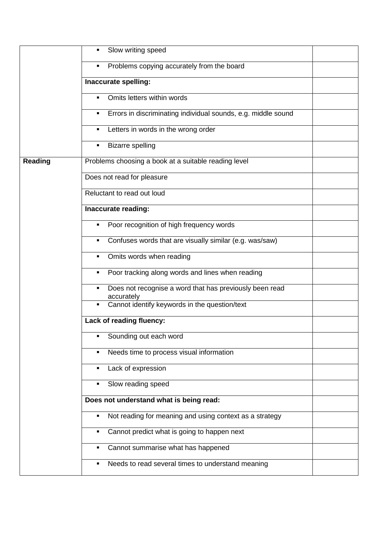|                | Slow writing speed<br>٠                                                    |  |
|----------------|----------------------------------------------------------------------------|--|
|                | Problems copying accurately from the board<br>٠                            |  |
|                | Inaccurate spelling:                                                       |  |
|                | Omits letters within words<br>٠                                            |  |
|                | Errors in discriminating individual sounds, e.g. middle sound<br>٠         |  |
|                | Letters in words in the wrong order<br>٠                                   |  |
|                | <b>Bizarre spelling</b><br>٠                                               |  |
| <b>Reading</b> | Problems choosing a book at a suitable reading level                       |  |
|                | Does not read for pleasure                                                 |  |
|                | Reluctant to read out loud                                                 |  |
|                | Inaccurate reading:                                                        |  |
|                | Poor recognition of high frequency words<br>٠                              |  |
|                | Confuses words that are visually similar (e.g. was/saw)<br>٠               |  |
|                | Omits words when reading<br>٠                                              |  |
|                | Poor tracking along words and lines when reading<br>٠                      |  |
|                | Does not recognise a word that has previously been read<br>٠<br>accurately |  |
|                | Cannot identify keywords in the question/text<br>٠                         |  |
|                | Lack of reading fluency:                                                   |  |
|                | Sounding out each word<br>П                                                |  |
|                | Needs time to process visual information<br>٠                              |  |
|                | Lack of expression<br>٠                                                    |  |
|                | Slow reading speed<br>П                                                    |  |
|                | Does not understand what is being read:                                    |  |
|                | Not reading for meaning and using context as a strategy<br>٠               |  |
|                | Cannot predict what is going to happen next<br>٠                           |  |
|                | Cannot summarise what has happened<br>٠                                    |  |
|                | Needs to read several times to understand meaning<br>٠                     |  |